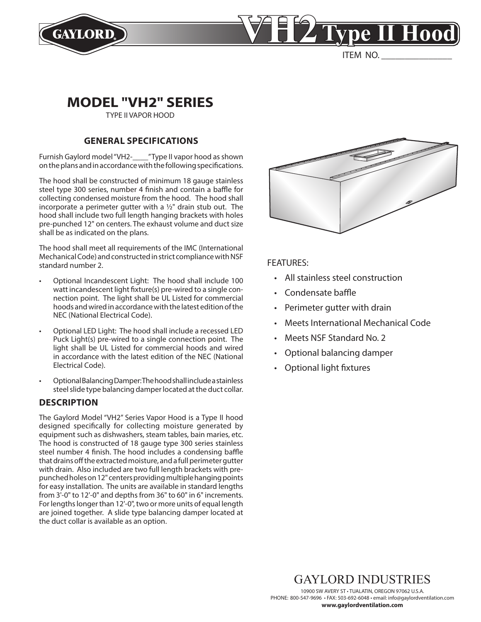



ITEM NO.

# **MODEL "VH2" SERIES**

TYPE II VAPOR HOOD

## **GENERAL SPECIFICATIONS**

Furnish Gaylord model "VH2-\_\_\_\_" Type II vapor hood as shown on the plans and in accordance with the following specifications.

The hood shall be constructed of minimum 18 gauge stainless steel type 300 series, number 4 finish and contain a baffle for collecting condensed moisture from the hood. The hood shall incorporate a perimeter gutter with a  $1/2$ " drain stub out. The hood shall include two full length hanging brackets with holes pre-punched 12" on centers. The exhaust volume and duct size shall be as indicated on the plans.

The hood shall meet all requirements of the IMC (International Mechanical Code) and constructed in strict compliance with NSF standard number 2.

- Optional Incandescent Light: The hood shall include 100 watt incandescent light fixture(s) pre-wired to a single connection point. The light shall be UL Listed for commercial hoods and wired in accordance with the latest edition of the NEC (National Electrical Code).
- Optional LED Light: The hood shall include a recessed LED Puck Light(s) pre-wired to a single connection point. The light shall be UL Listed for commercial hoods and wired in accordance with the latest edition of the NEC (National Electrical Code).
- Optional Balancing Damper: The hood shall include a stainless steel slide type balancing damper located at the duct collar.

## **DESCRIPTION**

The Gaylord Model "VH2" Series Vapor Hood is a Type II hood designed specifically for collecting moisture generated by equipment such as dishwashers, steam tables, bain maries, etc. The hood is constructed of 18 gauge type 300 series stainless steel number 4 finish. The hood includes a condensing baffle that drains off the extracted moisture, and a full perimeter gutter with drain. Also included are two full length brackets with prepunched holes on 12" centers providing multiple hanging points for easy installation. The units are available in standard lengths from 3'-0" to 12'-0" and depths from 36" to 60" in 6" increments. For lengths longer than 12'-0", two or more units of equal length are joined together. A slide type balancing damper located at the duct collar is available as an option.



FEATURES:

- All stainless steel construction
- Condensate baffle
- Perimeter gutter with drain
- Meets International Mechanical Code
- Meets NSF Standard No. 2
- Optional balancing damper
- Optional light fixtures